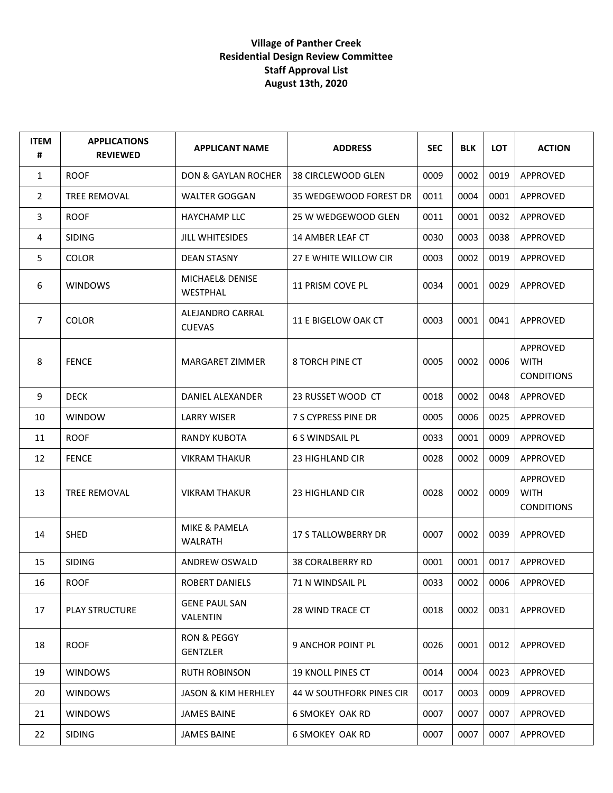| <b>ITEM</b><br># | <b>APPLICATIONS</b><br><b>REVIEWED</b> | <b>APPLICANT NAME</b>             | <b>ADDRESS</b>                  | <b>SEC</b> | <b>BLK</b> | LOT  | <b>ACTION</b>                                |
|------------------|----------------------------------------|-----------------------------------|---------------------------------|------------|------------|------|----------------------------------------------|
| 1                | <b>ROOF</b>                            | <b>DON &amp; GAYLAN ROCHER</b>    | 38 CIRCLEWOOD GLEN              | 0009       | 0002       | 0019 | APPROVED                                     |
| $\overline{2}$   | TREE REMOVAL                           | <b>WALTER GOGGAN</b>              | 35 WEDGEWOOD FOREST DR          | 0011       | 0004       | 0001 | APPROVED                                     |
| 3                | <b>ROOF</b>                            | <b>HAYCHAMP LLC</b>               | 25 W WEDGEWOOD GLEN             | 0011       | 0001       | 0032 | APPROVED                                     |
| 4                | <b>SIDING</b>                          | JILL WHITESIDES                   | 14 AMBER LEAF CT                | 0030       | 0003       | 0038 | <b>APPROVED</b>                              |
| 5                | <b>COLOR</b>                           | <b>DEAN STASNY</b>                | 27 E WHITE WILLOW CIR           | 0003       | 0002       | 0019 | <b>APPROVED</b>                              |
| 6                | WINDOWS                                | MICHAEL& DENISE<br>WESTPHAL       | 11 PRISM COVE PL                | 0034       | 0001       | 0029 | APPROVED                                     |
| 7                | <b>COLOR</b>                           | ALEJANDRO CARRAL<br><b>CUEVAS</b> | 11 E BIGELOW OAK CT             | 0003       | 0001       | 0041 | APPROVED                                     |
| 8                | <b>FENCE</b>                           | <b>MARGARET ZIMMER</b>            | <b>8 TORCH PINE CT</b>          | 0005       | 0002       | 0006 | APPROVED<br><b>WITH</b><br><b>CONDITIONS</b> |
| 9                | <b>DECK</b>                            | DANIEL ALEXANDER                  | 23 RUSSET WOOD CT               | 0018       | 0002       | 0048 | APPROVED                                     |
| 10               | <b>WINDOW</b>                          | <b>LARRY WISER</b>                | 7 S CYPRESS PINE DR             | 0005       | 0006       | 0025 | APPROVED                                     |
| 11               | <b>ROOF</b>                            | <b>RANDY KUBOTA</b>               | <b>6 S WINDSAIL PL</b>          | 0033       | 0001       | 0009 | APPROVED                                     |
| 12               | <b>FENCE</b>                           | <b>VIKRAM THAKUR</b>              | 23 HIGHLAND CIR                 | 0028       | 0002       | 0009 | APPROVED                                     |
| 13               | <b>TREE REMOVAL</b>                    | <b>VIKRAM THAKUR</b>              | 23 HIGHLAND CIR                 | 0028       | 0002       | 0009 | APPROVED<br><b>WITH</b><br><b>CONDITIONS</b> |
| 14               | <b>SHED</b>                            | MIKE & PAMELA<br><b>WALRATH</b>   | <b>17 S TALLOWBERRY DR</b>      | 0007       | 0002       | 0039 | <b>APPROVED</b>                              |
| 15               | <b>SIDING</b>                          | <b>ANDREW OSWALD</b>              | <b>38 CORALBERRY RD</b>         | 0001       | 0001       | 0017 | APPROVED                                     |
| 16               | <b>ROOF</b>                            | ROBERT DANIELS                    | 71 N WINDSAIL PL                | 0033       | 0002       | 0006 | APPROVED                                     |
| 17               | <b>PLAY STRUCTURE</b>                  | <b>GENE PAUL SAN</b><br>VALENTIN  | <b>28 WIND TRACE CT</b>         | 0018       | 0002       | 0031 | APPROVED                                     |
| 18               | <b>ROOF</b>                            | RON & PEGGY<br><b>GENTZLER</b>    | 9 ANCHOR POINT PL               | 0026       | 0001       | 0012 | APPROVED                                     |
| 19               | <b>WINDOWS</b>                         | <b>RUTH ROBINSON</b>              | 19 KNOLL PINES CT               | 0014       | 0004       | 0023 | APPROVED                                     |
| 20               | <b>WINDOWS</b>                         | <b>JASON &amp; KIM HERHLEY</b>    | <b>44 W SOUTHFORK PINES CIR</b> | 0017       | 0003       | 0009 | APPROVED                                     |
| 21               | <b>WINDOWS</b>                         | <b>JAMES BAINE</b>                | <b>6 SMOKEY OAK RD</b>          | 0007       | 0007       | 0007 | APPROVED                                     |
| 22               | <b>SIDING</b>                          | <b>JAMES BAINE</b>                | <b>6 SMOKEY OAK RD</b>          | 0007       | 0007       | 0007 | APPROVED                                     |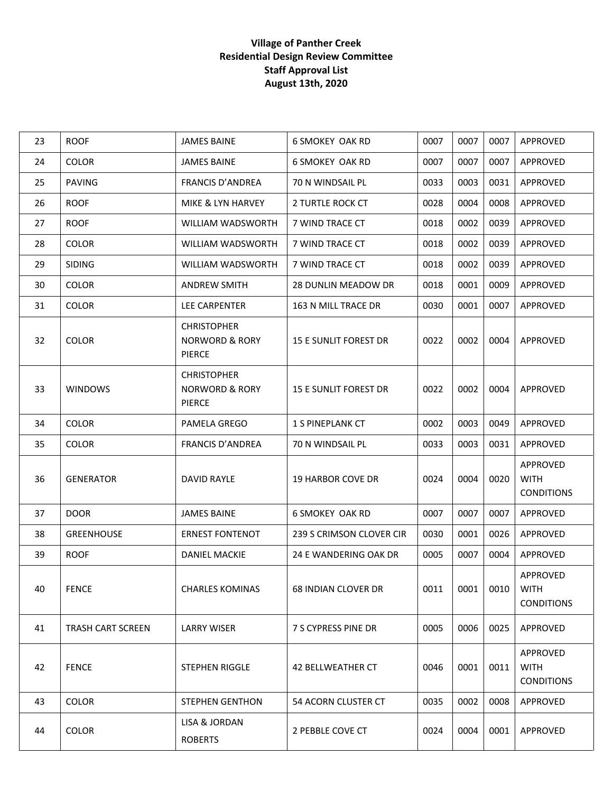| 23 | <b>ROOF</b>              | <b>JAMES BAINE</b>                                               | <b>6 SMOKEY OAK RD</b>       | 0007 | 0007 | 0007 | APPROVED                                     |
|----|--------------------------|------------------------------------------------------------------|------------------------------|------|------|------|----------------------------------------------|
| 24 | <b>COLOR</b>             | <b>JAMES BAINE</b>                                               | <b>6 SMOKEY OAK RD</b>       | 0007 | 0007 | 0007 | APPROVED                                     |
| 25 | <b>PAVING</b>            | <b>FRANCIS D'ANDREA</b>                                          | 70 N WINDSAIL PL             | 0033 | 0003 | 0031 | APPROVED                                     |
| 26 | <b>ROOF</b>              | MIKE & LYN HARVEY                                                | 2 TURTLE ROCK CT             | 0028 | 0004 | 0008 | APPROVED                                     |
| 27 | <b>ROOF</b>              | WILLIAM WADSWORTH                                                | 7 WIND TRACE CT              | 0018 | 0002 | 0039 | APPROVED                                     |
| 28 | <b>COLOR</b>             | WILLIAM WADSWORTH                                                | 7 WIND TRACE CT              | 0018 | 0002 | 0039 | APPROVED                                     |
| 29 | <b>SIDING</b>            | WILLIAM WADSWORTH                                                | 7 WIND TRACE CT              | 0018 | 0002 | 0039 | APPROVED                                     |
| 30 | <b>COLOR</b>             | <b>ANDREW SMITH</b>                                              | <b>28 DUNLIN MEADOW DR</b>   | 0018 | 0001 | 0009 | APPROVED                                     |
| 31 | <b>COLOR</b>             | LEE CARPENTER                                                    | 163 N MILL TRACE DR          | 0030 | 0001 | 0007 | APPROVED                                     |
| 32 | <b>COLOR</b>             | <b>CHRISTOPHER</b><br><b>NORWORD &amp; RORY</b><br>PIERCE        | <b>15 E SUNLIT FOREST DR</b> | 0022 | 0002 | 0004 | APPROVED                                     |
| 33 | <b>WINDOWS</b>           | <b>CHRISTOPHER</b><br><b>NORWORD &amp; RORY</b><br><b>PIERCE</b> | <b>15 E SUNLIT FOREST DR</b> | 0022 | 0002 | 0004 | APPROVED                                     |
| 34 | <b>COLOR</b>             | PAMELA GREGO                                                     | <b>1 S PINEPLANK CT</b>      | 0002 | 0003 | 0049 | APPROVED                                     |
| 35 | <b>COLOR</b>             | <b>FRANCIS D'ANDREA</b>                                          | 70 N WINDSAIL PL             | 0033 | 0003 | 0031 | APPROVED                                     |
| 36 | <b>GENERATOR</b>         | DAVID RAYLE                                                      | <b>19 HARBOR COVE DR</b>     | 0024 | 0004 | 0020 | APPROVED<br><b>WITH</b><br><b>CONDITIONS</b> |
| 37 | <b>DOOR</b>              | <b>JAMES BAINE</b>                                               | <b>6 SMOKEY OAK RD</b>       | 0007 | 0007 | 0007 | APPROVED                                     |
| 38 | <b>GREENHOUSE</b>        | <b>ERNEST FONTENOT</b>                                           | 239 S CRIMSON CLOVER CIR     | 0030 | 0001 | 0026 | APPROVED                                     |
| 39 | <b>ROOF</b>              | <b>DANIEL MACKIE</b>                                             | 24 E WANDERING OAK DR        | 0005 | 0007 | 0004 | APPROVED                                     |
| 40 | <b>FENCE</b>             | <b>CHARLES KOMINAS</b>                                           | <b>68 INDIAN CLOVER DR</b>   | 0011 | 0001 | 0010 | APPROVED<br><b>WITH</b><br><b>CONDITIONS</b> |
| 41 | <b>TRASH CART SCREEN</b> | <b>LARRY WISER</b>                                               | 7 S CYPRESS PINE DR          | 0005 | 0006 | 0025 | APPROVED                                     |
| 42 | <b>FENCE</b>             | <b>STEPHEN RIGGLE</b>                                            | 42 BELLWEATHER CT            | 0046 | 0001 | 0011 | APPROVED<br><b>WITH</b><br><b>CONDITIONS</b> |
| 43 | <b>COLOR</b>             | <b>STEPHEN GENTHON</b>                                           | 54 ACORN CLUSTER CT          | 0035 | 0002 | 0008 | APPROVED                                     |
| 44 | <b>COLOR</b>             | LISA & JORDAN<br><b>ROBERTS</b>                                  | 2 PEBBLE COVE CT             | 0024 | 0004 | 0001 | APPROVED                                     |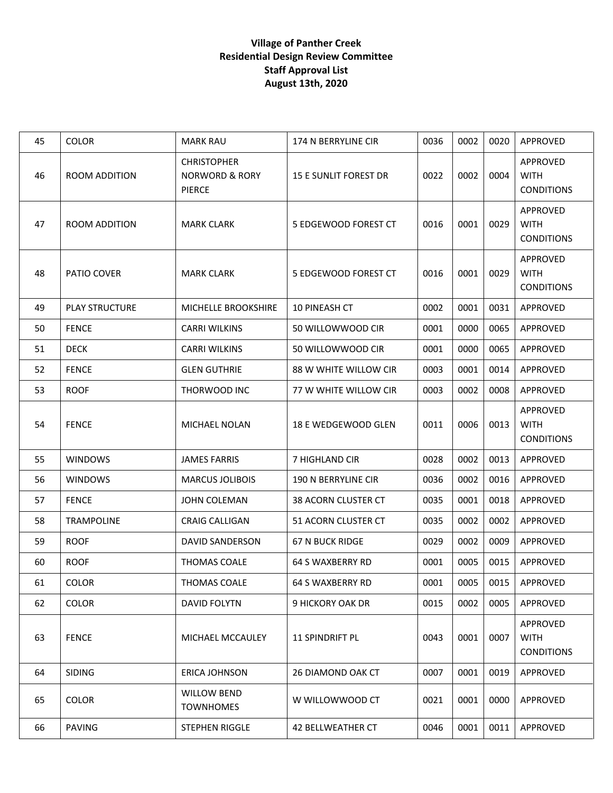| 45 | <b>COLOR</b>          | <b>MARK RAU</b>                                                  | 174 N BERRYLINE CIR          | 0036 | 0002 | 0020 | APPROVED                                     |
|----|-----------------------|------------------------------------------------------------------|------------------------------|------|------|------|----------------------------------------------|
| 46 | ROOM ADDITION         | <b>CHRISTOPHER</b><br><b>NORWORD &amp; RORY</b><br><b>PIERCE</b> | <b>15 E SUNLIT FOREST DR</b> | 0022 | 0002 | 0004 | APPROVED<br><b>WITH</b><br><b>CONDITIONS</b> |
| 47 | ROOM ADDITION         | <b>MARK CLARK</b>                                                | 5 EDGEWOOD FOREST CT         | 0016 | 0001 | 0029 | APPROVED<br><b>WITH</b><br><b>CONDITIONS</b> |
| 48 | PATIO COVER           | <b>MARK CLARK</b>                                                | 5 EDGEWOOD FOREST CT         | 0016 | 0001 | 0029 | APPROVED<br><b>WITH</b><br><b>CONDITIONS</b> |
| 49 | <b>PLAY STRUCTURE</b> | MICHELLE BROOKSHIRE                                              | 10 PINEASH CT                | 0002 | 0001 | 0031 | APPROVED                                     |
| 50 | <b>FENCE</b>          | <b>CARRI WILKINS</b>                                             | 50 WILLOWWOOD CIR            | 0001 | 0000 | 0065 | APPROVED                                     |
| 51 | <b>DECK</b>           | <b>CARRI WILKINS</b>                                             | 50 WILLOWWOOD CIR            | 0001 | 0000 | 0065 | APPROVED                                     |
| 52 | <b>FENCE</b>          | <b>GLEN GUTHRIE</b>                                              | 88 W WHITE WILLOW CIR        | 0003 | 0001 | 0014 | APPROVED                                     |
| 53 | <b>ROOF</b>           | THORWOOD INC                                                     | 77 W WHITE WILLOW CIR        | 0003 | 0002 | 0008 | APPROVED                                     |
| 54 | <b>FENCE</b>          | MICHAEL NOLAN                                                    | 18 E WEDGEWOOD GLEN          | 0011 | 0006 | 0013 | APPROVED<br><b>WITH</b><br><b>CONDITIONS</b> |
| 55 | <b>WINDOWS</b>        | <b>JAMES FARRIS</b>                                              | 7 HIGHLAND CIR               | 0028 | 0002 | 0013 | APPROVED                                     |
| 56 | <b>WINDOWS</b>        | <b>MARCUS JOLIBOIS</b>                                           | 190 N BERRYLINE CIR          | 0036 | 0002 | 0016 | APPROVED                                     |
| 57 | <b>FENCE</b>          | JOHN COLEMAN                                                     | 38 ACORN CLUSTER CT          | 0035 | 0001 | 0018 | APPROVED                                     |
| 58 | TRAMPOLINE            | <b>CRAIG CALLIGAN</b>                                            | 51 ACORN CLUSTER CT          | 0035 | 0002 | 0002 | APPROVED                                     |
| 59 | <b>ROOF</b>           | <b>DAVID SANDERSON</b>                                           | 67 N BUCK RIDGE              | 0029 | 0002 | 0009 | APPROVED                                     |
| 60 | <b>ROOF</b>           | THOMAS COALE                                                     | 64 S WAXBERRY RD             | 0001 | 0005 | 0015 | APPROVED                                     |
| 61 | COLOR                 | THOMAS COALE                                                     | 64 S WAXBERRY RD             | 0001 | 0005 | 0015 | APPROVED                                     |
| 62 | <b>COLOR</b>          | <b>DAVID FOLYTN</b>                                              | 9 HICKORY OAK DR             | 0015 | 0002 | 0005 | APPROVED                                     |
| 63 | <b>FENCE</b>          | MICHAEL MCCAULEY                                                 | <b>11 SPINDRIFT PL</b>       | 0043 | 0001 | 0007 | APPROVED<br><b>WITH</b><br><b>CONDITIONS</b> |
| 64 | <b>SIDING</b>         | <b>ERICA JOHNSON</b>                                             | 26 DIAMOND OAK CT            | 0007 | 0001 | 0019 | APPROVED                                     |
| 65 | <b>COLOR</b>          | <b>WILLOW BEND</b><br><b>TOWNHOMES</b>                           | W WILLOWWOOD CT              | 0021 | 0001 | 0000 | APPROVED                                     |
| 66 | <b>PAVING</b>         | STEPHEN RIGGLE                                                   | 42 BELLWEATHER CT            | 0046 | 0001 | 0011 | APPROVED                                     |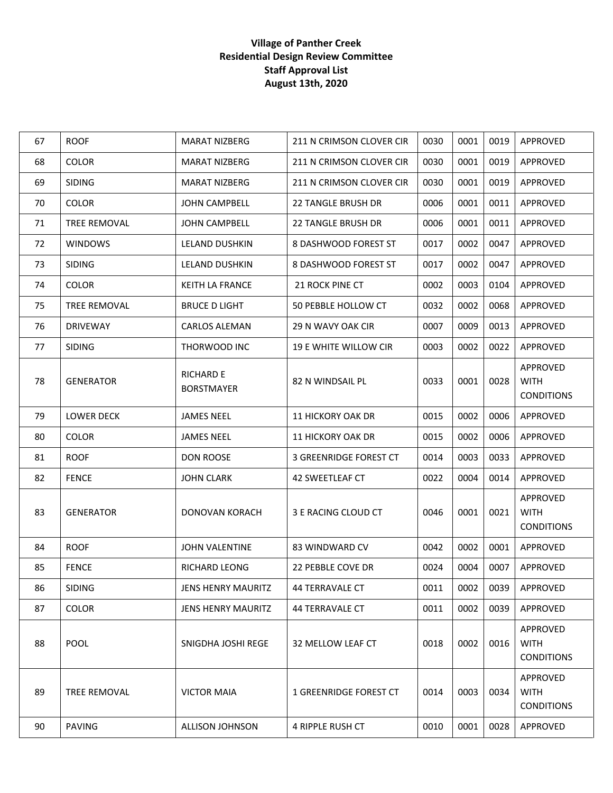| 67 | <b>ROOF</b>       | <b>MARAT NIZBERG</b>                  | 211 N CRIMSON CLOVER CIR  | 0030 | 0001 | 0019 | APPROVED                                     |
|----|-------------------|---------------------------------------|---------------------------|------|------|------|----------------------------------------------|
| 68 | <b>COLOR</b>      | <b>MARAT NIZBERG</b>                  | 211 N CRIMSON CLOVER CIR  | 0030 | 0001 | 0019 | APPROVED                                     |
| 69 | <b>SIDING</b>     | <b>MARAT NIZBERG</b>                  | 211 N CRIMSON CLOVER CIR  | 0030 | 0001 | 0019 | APPROVED                                     |
| 70 | <b>COLOR</b>      | <b>JOHN CAMPBELL</b>                  | <b>22 TANGLE BRUSH DR</b> | 0006 | 0001 | 0011 | APPROVED                                     |
| 71 | TREE REMOVAL      | JOHN CAMPBELL                         | 22 TANGLE BRUSH DR        | 0006 | 0001 | 0011 | APPROVED                                     |
| 72 | <b>WINDOWS</b>    | LELAND DUSHKIN                        | 8 DASHWOOD FOREST ST      | 0017 | 0002 | 0047 | APPROVED                                     |
| 73 | <b>SIDING</b>     | LELAND DUSHKIN                        | 8 DASHWOOD FOREST ST      | 0017 | 0002 | 0047 | APPROVED                                     |
| 74 | <b>COLOR</b>      | KEITH LA FRANCE                       | 21 ROCK PINE CT           | 0002 | 0003 | 0104 | APPROVED                                     |
| 75 | TREE REMOVAL      | <b>BRUCE D LIGHT</b>                  | 50 PEBBLE HOLLOW CT       | 0032 | 0002 | 0068 | APPROVED                                     |
| 76 | <b>DRIVEWAY</b>   | <b>CARLOS ALEMAN</b>                  | 29 N WAVY OAK CIR         | 0007 | 0009 | 0013 | APPROVED                                     |
| 77 | <b>SIDING</b>     | THORWOOD INC                          | 19 E WHITE WILLOW CIR     | 0003 | 0002 | 0022 | APPROVED                                     |
| 78 | <b>GENERATOR</b>  | <b>RICHARD E</b><br><b>BORSTMAYER</b> | 82 N WINDSAIL PL          | 0033 | 0001 | 0028 | APPROVED<br><b>WITH</b><br><b>CONDITIONS</b> |
| 79 | <b>LOWER DECK</b> | <b>JAMES NEEL</b>                     | <b>11 HICKORY OAK DR</b>  | 0015 | 0002 | 0006 | APPROVED                                     |
| 80 | <b>COLOR</b>      | <b>JAMES NEEL</b>                     | <b>11 HICKORY OAK DR</b>  | 0015 | 0002 | 0006 | APPROVED                                     |
| 81 | <b>ROOF</b>       | <b>DON ROOSE</b>                      | 3 GREENRIDGE FOREST CT    | 0014 | 0003 | 0033 | APPROVED                                     |
| 82 | <b>FENCE</b>      | <b>JOHN CLARK</b>                     | 42 SWEETLEAF CT           | 0022 | 0004 | 0014 | APPROVED                                     |
| 83 | <b>GENERATOR</b>  | DONOVAN KORACH                        | 3 E RACING CLOUD CT       | 0046 | 0001 | 0021 | APPROVED<br><b>WITH</b><br><b>CONDITIONS</b> |
| 84 | <b>ROOF</b>       | JOHN VALENTINE                        | 83 WINDWARD CV            | 0042 | 0002 | 0001 | APPROVED                                     |
| 85 | <b>FENCE</b>      | <b>RICHARD LEONG</b>                  | 22 PEBBLE COVE DR         | 0024 | 0004 | 0007 | APPROVED                                     |
| 86 | <b>SIDING</b>     | <b>JENS HENRY MAURITZ</b>             | 44 TERRAVALE CT           | 0011 | 0002 | 0039 | APPROVED                                     |
| 87 | <b>COLOR</b>      | JENS HENRY MAURITZ                    | <b>44 TERRAVALE CT</b>    | 0011 | 0002 | 0039 | <b>APPROVED</b>                              |
| 88 | <b>POOL</b>       | SNIGDHA JOSHI REGE                    | 32 MELLOW LEAF CT         | 0018 | 0002 | 0016 | APPROVED<br><b>WITH</b><br><b>CONDITIONS</b> |
| 89 | TREE REMOVAL      | <b>VICTOR MAIA</b>                    | 1 GREENRIDGE FOREST CT    | 0014 | 0003 | 0034 | APPROVED<br><b>WITH</b><br><b>CONDITIONS</b> |
| 90 | <b>PAVING</b>     | <b>ALLISON JOHNSON</b>                | 4 RIPPLE RUSH CT          | 0010 | 0001 | 0028 | APPROVED                                     |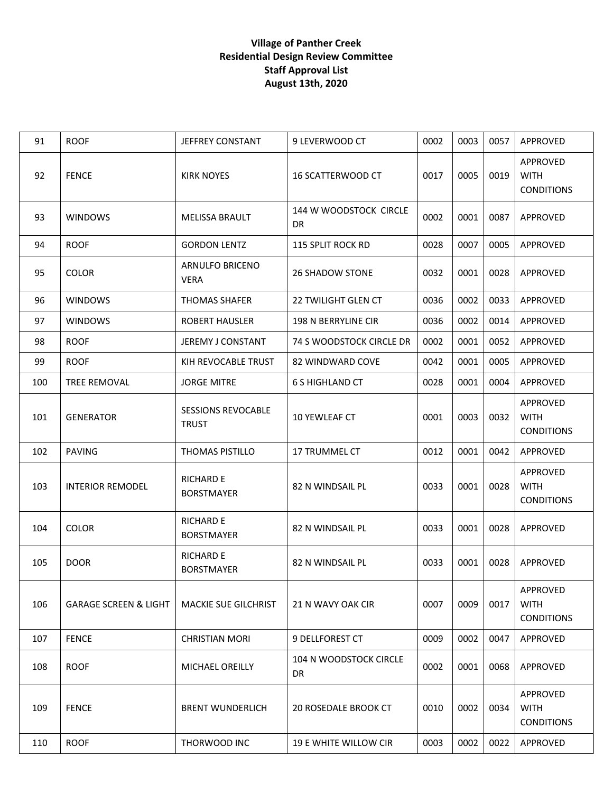| 91  | <b>ROOF</b>                      | <b>JEFFREY CONSTANT</b>                   | 9 LEVERWOOD CT               | 0002 | 0003 | 0057 | <b>APPROVED</b>                              |
|-----|----------------------------------|-------------------------------------------|------------------------------|------|------|------|----------------------------------------------|
| 92  | <b>FENCE</b>                     | <b>KIRK NOYES</b>                         | 16 SCATTERWOOD CT            | 0017 | 0005 | 0019 | APPROVED<br><b>WITH</b><br><b>CONDITIONS</b> |
| 93  | <b>WINDOWS</b>                   | <b>MELISSA BRAULT</b>                     | 144 W WOODSTOCK CIRCLE<br>DR | 0002 | 0001 | 0087 | APPROVED                                     |
| 94  | <b>ROOF</b>                      | <b>GORDON LENTZ</b>                       | 115 SPLIT ROCK RD            | 0028 | 0007 | 0005 | APPROVED                                     |
| 95  | <b>COLOR</b>                     | ARNULFO BRICENO<br><b>VERA</b>            | <b>26 SHADOW STONE</b>       | 0032 | 0001 | 0028 | APPROVED                                     |
| 96  | <b>WINDOWS</b>                   | <b>THOMAS SHAFER</b>                      | <b>22 TWILIGHT GLEN CT</b>   | 0036 | 0002 | 0033 | APPROVED                                     |
| 97  | <b>WINDOWS</b>                   | <b>ROBERT HAUSLER</b>                     | 198 N BERRYLINE CIR          | 0036 | 0002 | 0014 | APPROVED                                     |
| 98  | <b>ROOF</b>                      | JEREMY J CONSTANT                         | 74 S WOODSTOCK CIRCLE DR     | 0002 | 0001 | 0052 | APPROVED                                     |
| 99  | <b>ROOF</b>                      | KIH REVOCABLE TRUST                       | 82 WINDWARD COVE             | 0042 | 0001 | 0005 | APPROVED                                     |
| 100 | <b>TREE REMOVAL</b>              | <b>JORGE MITRE</b>                        | <b>6 S HIGHLAND CT</b>       | 0028 | 0001 | 0004 | APPROVED                                     |
| 101 | <b>GENERATOR</b>                 | <b>SESSIONS REVOCABLE</b><br><b>TRUST</b> | 10 YEWLEAF CT                | 0001 | 0003 | 0032 | APPROVED<br><b>WITH</b><br><b>CONDITIONS</b> |
| 102 | <b>PAVING</b>                    | THOMAS PISTILLO                           | 17 TRUMMEL CT                | 0012 | 0001 | 0042 | APPROVED                                     |
| 103 | <b>INTERIOR REMODEL</b>          | <b>RICHARD E</b><br><b>BORSTMAYER</b>     | 82 N WINDSAIL PL             | 0033 | 0001 | 0028 | APPROVED<br><b>WITH</b><br><b>CONDITIONS</b> |
| 104 | <b>COLOR</b>                     | <b>RICHARD E</b><br><b>BORSTMAYER</b>     | 82 N WINDSAIL PL             | 0033 | 0001 | 0028 | APPROVED                                     |
| 105 | <b>DOOR</b>                      | <b>RICHARD E</b><br><b>BORSTMAYER</b>     | 82 N WINDSAIL PL             | 0033 | 0001 | 0028 | APPROVED                                     |
| 106 | <b>GARAGE SCREEN &amp; LIGHT</b> | <b>MACKIE SUE GILCHRIST</b>               | 21 N WAVY OAK CIR            | 0007 | 0009 | 0017 | APPROVED<br><b>WITH</b><br><b>CONDITIONS</b> |
| 107 | <b>FENCE</b>                     | <b>CHRISTIAN MORI</b>                     | 9 DELLFOREST CT              | 0009 | 0002 | 0047 | APPROVED                                     |
| 108 | <b>ROOF</b>                      | MICHAEL OREILLY                           | 104 N WOODSTOCK CIRCLE<br>DR | 0002 | 0001 | 0068 | APPROVED                                     |
| 109 | <b>FENCE</b>                     | <b>BRENT WUNDERLICH</b>                   | <b>20 ROSEDALE BROOK CT</b>  | 0010 | 0002 | 0034 | APPROVED<br><b>WITH</b><br><b>CONDITIONS</b> |
| 110 | <b>ROOF</b>                      | THORWOOD INC                              | <b>19 E WHITE WILLOW CIR</b> | 0003 | 0002 | 0022 | APPROVED                                     |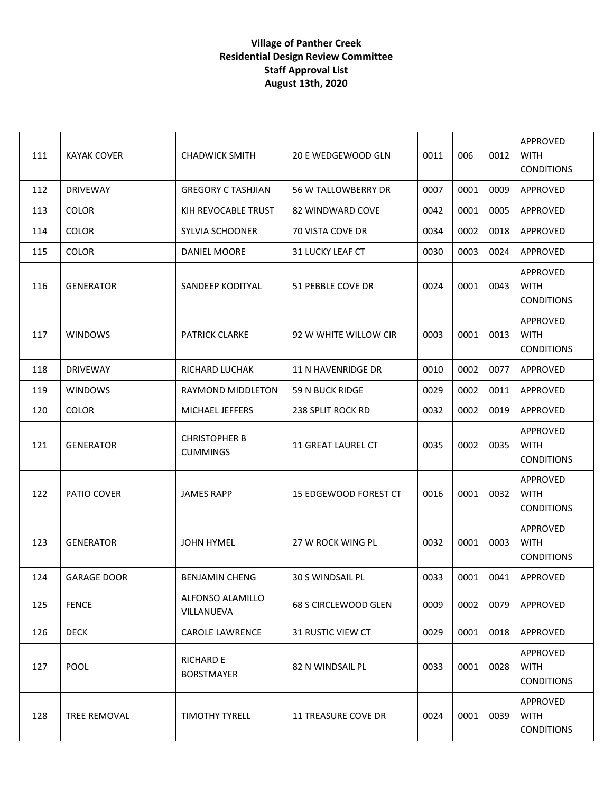| 111 | <b>KAYAK COVER</b> | <b>CHADWICK SMITH</b>                   | 20 E WEDGEWOOD GLN         | 0011 | 006  | 0012 | APPROVED<br><b>WITH</b><br><b>CONDITIONS</b> |
|-----|--------------------|-----------------------------------------|----------------------------|------|------|------|----------------------------------------------|
| 112 | <b>DRIVEWAY</b>    | <b>GREGORY C TASHJIAN</b>               | 56 W TALLOWBERRY DR        | 0007 | 0001 | 0009 | APPROVED                                     |
| 113 | <b>COLOR</b>       | KIH REVOCABLE TRUST                     | 82 WINDWARD COVE           | 0042 | 0001 | 0005 | APPROVED                                     |
| 114 | <b>COLOR</b>       | <b>SYLVIA SCHOONER</b>                  | 70 VISTA COVE DR           | 0034 | 0002 | 0018 | APPROVED                                     |
| 115 | <b>COLOR</b>       | DANIEL MOORE                            | 31 LUCKY LEAF CT           | 0030 | 0003 | 0024 | APPROVED                                     |
| 116 | <b>GENERATOR</b>   | SANDEEP KODITYAL                        | 51 PEBBLE COVE DR          | 0024 | 0001 | 0043 | APPROVED<br><b>WITH</b><br><b>CONDITIONS</b> |
| 117 | <b>WINDOWS</b>     | <b>PATRICK CLARKE</b>                   | 92 W WHITE WILLOW CIR      | 0003 | 0001 | 0013 | APPROVED<br><b>WITH</b><br><b>CONDITIONS</b> |
| 118 | <b>DRIVEWAY</b>    | RICHARD LUCHAK                          | 11 N HAVENRIDGE DR         | 0010 | 0002 | 0077 | APPROVED                                     |
| 119 | <b>WINDOWS</b>     | RAYMOND MIDDLETON                       | 59 N BUCK RIDGE            | 0029 | 0002 | 0011 | APPROVED                                     |
| 120 | <b>COLOR</b>       | MICHAEL JEFFERS                         | <b>238 SPLIT ROCK RD</b>   | 0032 | 0002 | 0019 | APPROVED                                     |
| 121 | <b>GENERATOR</b>   | <b>CHRISTOPHER B</b><br><b>CUMMINGS</b> | 11 GREAT LAUREL CT         | 0035 | 0002 | 0035 | APPROVED<br><b>WITH</b><br><b>CONDITIONS</b> |
| 122 | PATIO COVER        | <b>JAMES RAPP</b>                       | 15 EDGEWOOD FOREST CT      | 0016 | 0001 | 0032 | APPROVED<br><b>WITH</b><br><b>CONDITIONS</b> |
| 123 | <b>GENERATOR</b>   | <b>JOHN HYMEL</b>                       | 27 W ROCK WING PL          | 0032 | 0001 | 0003 | APPROVED<br><b>WITH</b><br><b>CONDITIONS</b> |
| 124 | <b>GARAGE DOOR</b> | <b>BENJAMIN CHENG</b>                   | 30 S WINDSAIL PL           | 0033 | 0001 | 0041 | APPROVED                                     |
| 125 | <b>FENCE</b>       | ALFONSO ALAMILLO<br>VILLANUEVA          | 68 S CIRCLEWOOD GLEN       | 0009 | 0002 | 0079 | APPROVED                                     |
| 126 | <b>DECK</b>        | <b>CAROLE LAWRENCE</b>                  | <b>31 RUSTIC VIEW CT</b>   | 0029 | 0001 | 0018 | APPROVED                                     |
| 127 | <b>POOL</b>        | <b>RICHARD E</b><br><b>BORSTMAYER</b>   | 82 N WINDSAIL PL           | 0033 | 0001 | 0028 | APPROVED<br><b>WITH</b><br><b>CONDITIONS</b> |
| 128 | TREE REMOVAL       | <b>TIMOTHY TYRELL</b>                   | <b>11 TREASURE COVE DR</b> | 0024 | 0001 | 0039 | APPROVED<br><b>WITH</b><br><b>CONDITIONS</b> |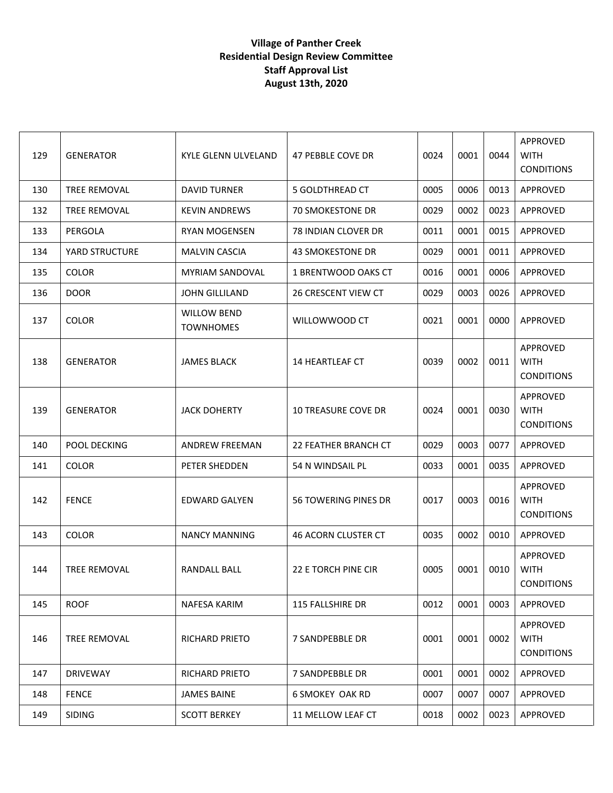| 129 | <b>GENERATOR</b>    | KYLE GLENN ULVELAND                    | 47 PEBBLE COVE DR          | 0024 | 0001 | 0044 | APPROVED<br><b>WITH</b><br><b>CONDITIONS</b> |
|-----|---------------------|----------------------------------------|----------------------------|------|------|------|----------------------------------------------|
| 130 | TREE REMOVAL        | <b>DAVID TURNER</b>                    | 5 GOLDTHREAD CT            | 0005 | 0006 | 0013 | APPROVED                                     |
| 132 | TREE REMOVAL        | <b>KEVIN ANDREWS</b>                   | <b>70 SMOKESTONE DR</b>    | 0029 | 0002 | 0023 | APPROVED                                     |
| 133 | PERGOLA             | <b>RYAN MOGENSEN</b>                   | 78 INDIAN CLOVER DR        | 0011 | 0001 | 0015 | APPROVED                                     |
| 134 | YARD STRUCTURE      | <b>MALVIN CASCIA</b>                   | 43 SMOKESTONE DR           | 0029 | 0001 | 0011 | APPROVED                                     |
| 135 | <b>COLOR</b>        | <b>MYRIAM SANDOVAL</b>                 | 1 BRENTWOOD OAKS CT        | 0016 | 0001 | 0006 | APPROVED                                     |
| 136 | <b>DOOR</b>         | <b>JOHN GILLILAND</b>                  | <b>26 CRESCENT VIEW CT</b> | 0029 | 0003 | 0026 | APPROVED                                     |
| 137 | <b>COLOR</b>        | <b>WILLOW BEND</b><br><b>TOWNHOMES</b> | WILLOWWOOD CT              | 0021 | 0001 | 0000 | APPROVED                                     |
| 138 | <b>GENERATOR</b>    | <b>JAMES BLACK</b>                     | <b>14 HEARTLEAF CT</b>     | 0039 | 0002 | 0011 | APPROVED<br><b>WITH</b><br><b>CONDITIONS</b> |
| 139 | <b>GENERATOR</b>    | <b>JACK DOHERTY</b>                    | <b>10 TREASURE COVE DR</b> | 0024 | 0001 | 0030 | APPROVED<br><b>WITH</b><br><b>CONDITIONS</b> |
| 140 | POOL DECKING        | <b>ANDREW FREEMAN</b>                  | 22 FEATHER BRANCH CT       | 0029 | 0003 | 0077 | APPROVED                                     |
| 141 | <b>COLOR</b>        | PETER SHEDDEN                          | 54 N WINDSAIL PL           | 0033 | 0001 | 0035 | APPROVED                                     |
| 142 | <b>FENCE</b>        | EDWARD GALYEN                          | 56 TOWERING PINES DR       | 0017 | 0003 | 0016 | APPROVED<br><b>WITH</b><br><b>CONDITIONS</b> |
| 143 | <b>COLOR</b>        | <b>NANCY MANNING</b>                   | 46 ACORN CLUSTER CT        | 0035 | 0002 | 0010 | APPROVED                                     |
| 144 | <b>TREE REMOVAL</b> | RANDALL BALL                           | 22 E TORCH PINE CIR        | 0005 | 0001 | 0010 | APPROVED<br><b>WITH</b><br><b>CONDITIONS</b> |
| 145 | <b>ROOF</b>         | NAFESA KARIM                           | 115 FALLSHIRE DR           | 0012 | 0001 | 0003 | APPROVED                                     |
| 146 | TREE REMOVAL        | <b>RICHARD PRIETO</b>                  | 7 SANDPEBBLE DR            | 0001 | 0001 | 0002 | APPROVED<br><b>WITH</b><br><b>CONDITIONS</b> |
| 147 | <b>DRIVEWAY</b>     | <b>RICHARD PRIETO</b>                  | 7 SANDPEBBLE DR            | 0001 | 0001 | 0002 | APPROVED                                     |
| 148 | <b>FENCE</b>        | <b>JAMES BAINE</b>                     | <b>6 SMOKEY OAK RD</b>     | 0007 | 0007 | 0007 | APPROVED                                     |
| 149 | <b>SIDING</b>       | <b>SCOTT BERKEY</b>                    | 11 MELLOW LEAF CT          | 0018 | 0002 | 0023 | APPROVED                                     |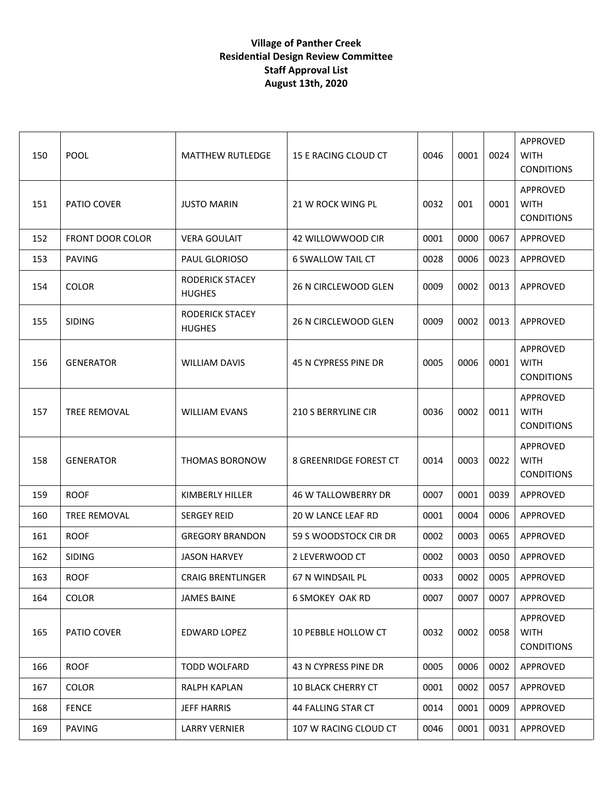| 150 | POOL                    | <b>MATTHEW RUTLEDGE</b>          | 15 E RACING CLOUD CT      | 0046 | 0001 | 0024 | APPROVED<br><b>WITH</b><br><b>CONDITIONS</b> |
|-----|-------------------------|----------------------------------|---------------------------|------|------|------|----------------------------------------------|
| 151 | PATIO COVER             | <b>JUSTO MARIN</b>               | 21 W ROCK WING PL         | 0032 | 001  | 0001 | APPROVED<br><b>WITH</b><br><b>CONDITIONS</b> |
| 152 | <b>FRONT DOOR COLOR</b> | <b>VERA GOULAIT</b>              | 42 WILLOWWOOD CIR         | 0001 | 0000 | 0067 | APPROVED                                     |
| 153 | <b>PAVING</b>           | PAUL GLORIOSO                    | <b>6 SWALLOW TAIL CT</b>  | 0028 | 0006 | 0023 | APPROVED                                     |
| 154 | <b>COLOR</b>            | RODERICK STACEY<br><b>HUGHES</b> | 26 N CIRCLEWOOD GLEN      | 0009 | 0002 | 0013 | APPROVED                                     |
| 155 | <b>SIDING</b>           | RODERICK STACEY<br><b>HUGHES</b> | 26 N CIRCLEWOOD GLEN      | 0009 | 0002 | 0013 | APPROVED                                     |
| 156 | <b>GENERATOR</b>        | <b>WILLIAM DAVIS</b>             | 45 N CYPRESS PINE DR      | 0005 | 0006 | 0001 | APPROVED<br><b>WITH</b><br><b>CONDITIONS</b> |
| 157 | <b>TREE REMOVAL</b>     | <b>WILLIAM EVANS</b>             | 210 S BERRYLINE CIR       | 0036 | 0002 | 0011 | APPROVED<br><b>WITH</b><br><b>CONDITIONS</b> |
| 158 | <b>GENERATOR</b>        | THOMAS BORONOW                   | 8 GREENRIDGE FOREST CT    | 0014 | 0003 | 0022 | APPROVED<br><b>WITH</b><br><b>CONDITIONS</b> |
| 159 | <b>ROOF</b>             | KIMBERLY HILLER                  | 46 W TALLOWBERRY DR       | 0007 | 0001 | 0039 | APPROVED                                     |
| 160 | TREE REMOVAL            | <b>SERGEY REID</b>               | 20 W LANCE LEAF RD        | 0001 | 0004 | 0006 | APPROVED                                     |
| 161 | <b>ROOF</b>             | <b>GREGORY BRANDON</b>           | 59 S WOODSTOCK CIR DR     | 0002 | 0003 | 0065 | APPROVED                                     |
| 162 | <b>SIDING</b>           | <b>JASON HARVEY</b>              | 2 LEVERWOOD CT            | 0002 | 0003 | 0050 | APPROVED                                     |
| 163 | <b>ROOF</b>             | <b>CRAIG BRENTLINGER</b>         | 67 N WINDSAIL PL          | 0033 | 0002 | 0005 | APPROVED                                     |
| 164 | <b>COLOR</b>            | <b>JAMES BAINE</b>               | <b>6 SMOKEY OAK RD</b>    | 0007 | 0007 | 0007 | APPROVED                                     |
| 165 | PATIO COVER             | EDWARD LOPEZ                     | 10 PEBBLE HOLLOW CT       | 0032 | 0002 | 0058 | APPROVED<br><b>WITH</b><br><b>CONDITIONS</b> |
| 166 | <b>ROOF</b>             | <b>TODD WOLFARD</b>              | 43 N CYPRESS PINE DR      | 0005 | 0006 | 0002 | APPROVED                                     |
| 167 | <b>COLOR</b>            | <b>RALPH KAPLAN</b>              | <b>10 BLACK CHERRY CT</b> | 0001 | 0002 | 0057 | APPROVED                                     |
| 168 | <b>FENCE</b>            | <b>JEFF HARRIS</b>               | 44 FALLING STAR CT        | 0014 | 0001 | 0009 | APPROVED                                     |
| 169 | <b>PAVING</b>           | <b>LARRY VERNIER</b>             | 107 W RACING CLOUD CT     | 0046 | 0001 | 0031 | APPROVED                                     |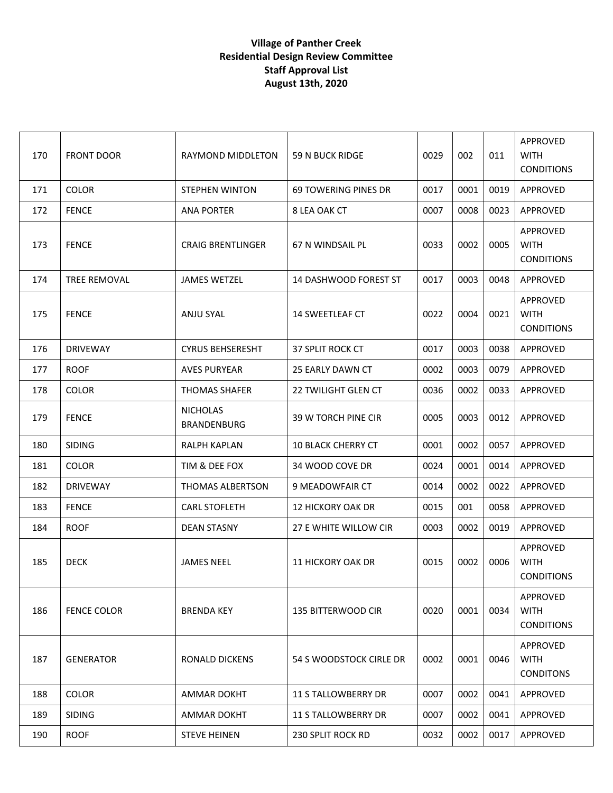| 170 | <b>FRONT DOOR</b>  | RAYMOND MIDDLETON                     | 59 N BUCK RIDGE             | 0029 | 002  | 011  | APPROVED<br><b>WITH</b><br><b>CONDITIONS</b>        |
|-----|--------------------|---------------------------------------|-----------------------------|------|------|------|-----------------------------------------------------|
| 171 | <b>COLOR</b>       | <b>STEPHEN WINTON</b>                 | <b>69 TOWERING PINES DR</b> | 0017 | 0001 | 0019 | APPROVED                                            |
| 172 | <b>FENCE</b>       | <b>ANA PORTER</b>                     | 8 LEA OAK CT                | 0007 | 0008 | 0023 | APPROVED                                            |
| 173 | <b>FENCE</b>       | <b>CRAIG BRENTLINGER</b>              | 67 N WINDSAIL PL            | 0033 | 0002 | 0005 | APPROVED<br><b>WITH</b><br><b>CONDITIONS</b>        |
| 174 | TREE REMOVAL       | <b>JAMES WETZEL</b>                   | 14 DASHWOOD FOREST ST       | 0017 | 0003 | 0048 | APPROVED                                            |
| 175 | <b>FENCE</b>       | <b>ANJU SYAL</b>                      | 14 SWEETLEAF CT             | 0022 | 0004 | 0021 | APPROVED<br><b>WITH</b><br><b>CONDITIONS</b>        |
| 176 | <b>DRIVEWAY</b>    | <b>CYRUS BEHSERESHT</b>               | <b>37 SPLIT ROCK CT</b>     | 0017 | 0003 | 0038 | APPROVED                                            |
| 177 | <b>ROOF</b>        | <b>AVES PURYEAR</b>                   | 25 EARLY DAWN CT            | 0002 | 0003 | 0079 | APPROVED                                            |
| 178 | <b>COLOR</b>       | <b>THOMAS SHAFER</b>                  | <b>22 TWILIGHT GLEN CT</b>  | 0036 | 0002 | 0033 | APPROVED                                            |
| 179 | <b>FENCE</b>       | <b>NICHOLAS</b><br><b>BRANDENBURG</b> | 39 W TORCH PINE CIR         | 0005 | 0003 | 0012 | APPROVED                                            |
| 180 | <b>SIDING</b>      | <b>RALPH KAPLAN</b>                   | <b>10 BLACK CHERRY CT</b>   | 0001 | 0002 | 0057 | APPROVED                                            |
| 181 | <b>COLOR</b>       | TIM & DEE FOX                         | 34 WOOD COVE DR             | 0024 | 0001 | 0014 | APPROVED                                            |
| 182 | <b>DRIVEWAY</b>    | THOMAS ALBERTSON                      | 9 MEADOWFAIR CT             | 0014 | 0002 | 0022 | APPROVED                                            |
| 183 | <b>FENCE</b>       | <b>CARL STOFLETH</b>                  | <b>12 HICKORY OAK DR</b>    | 0015 | 001  | 0058 | APPROVED                                            |
| 184 | <b>ROOF</b>        | <b>DEAN STASNY</b>                    | 27 E WHITE WILLOW CIR       | 0003 | 0002 | 0019 | APPROVED                                            |
| 185 | <b>DECK</b>        | <b>JAMES NEEL</b>                     | 11 HICKORY OAK DR           | 0015 | 0002 | 0006 | <b>APPROVED</b><br><b>WITH</b><br><b>CONDITIONS</b> |
| 186 | <b>FENCE COLOR</b> | <b>BRENDA KEY</b>                     | 135 BITTERWOOD CIR          | 0020 | 0001 | 0034 | APPROVED<br><b>WITH</b><br><b>CONDITIONS</b>        |
| 187 | <b>GENERATOR</b>   | <b>RONALD DICKENS</b>                 | 54 S WOODSTOCK CIRLE DR     | 0002 | 0001 | 0046 | APPROVED<br><b>WITH</b><br><b>CONDITONS</b>         |
| 188 | <b>COLOR</b>       | <b>AMMAR DOKHT</b>                    | <b>11 S TALLOWBERRY DR</b>  | 0007 | 0002 | 0041 | APPROVED                                            |
| 189 | <b>SIDING</b>      | <b>AMMAR DOKHT</b>                    | <b>11 S TALLOWBERRY DR</b>  | 0007 | 0002 | 0041 | APPROVED                                            |
| 190 | <b>ROOF</b>        | <b>STEVE HEINEN</b>                   | 230 SPLIT ROCK RD           | 0032 | 0002 | 0017 | APPROVED                                            |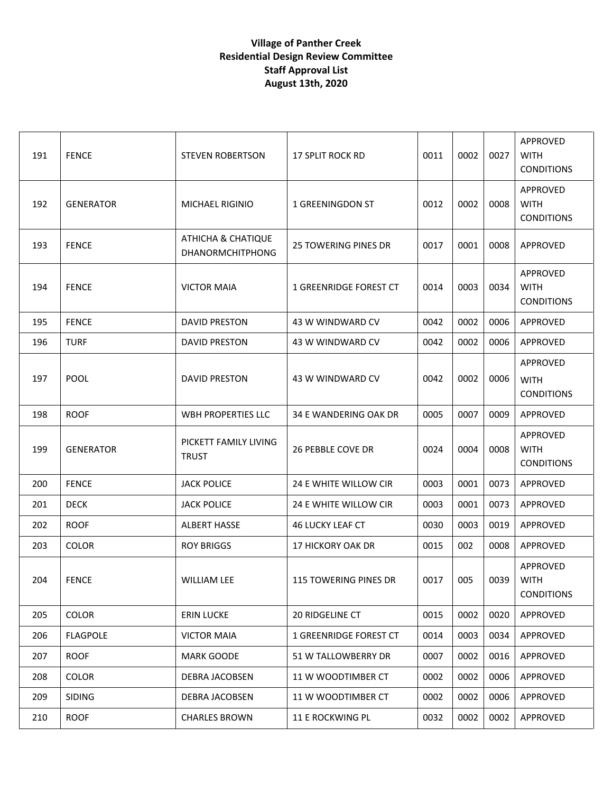| 191 | <b>FENCE</b>     | <b>STEVEN ROBERTSON</b>                       | <b>17 SPLIT ROCK RD</b>     | 0011 | 0002 | 0027 | APPROVED<br><b>WITH</b><br><b>CONDITIONS</b> |
|-----|------------------|-----------------------------------------------|-----------------------------|------|------|------|----------------------------------------------|
| 192 | <b>GENERATOR</b> | MICHAEL RIGINIO                               | 1 GREENINGDON ST            | 0012 | 0002 | 0008 | APPROVED<br><b>WITH</b><br><b>CONDITIONS</b> |
| 193 | <b>FENCE</b>     | ATHICHA & CHATIQUE<br><b>DHANORMCHITPHONG</b> | <b>25 TOWERING PINES DR</b> | 0017 | 0001 | 0008 | APPROVED                                     |
| 194 | <b>FENCE</b>     | <b>VICTOR MAIA</b>                            | 1 GREENRIDGE FOREST CT      | 0014 | 0003 | 0034 | APPROVED<br><b>WITH</b><br><b>CONDITIONS</b> |
| 195 | <b>FENCE</b>     | <b>DAVID PRESTON</b>                          | 43 W WINDWARD CV            | 0042 | 0002 | 0006 | APPROVED                                     |
| 196 | <b>TURF</b>      | <b>DAVID PRESTON</b>                          | 43 W WINDWARD CV            | 0042 | 0002 | 0006 | APPROVED                                     |
| 197 | <b>POOL</b>      | <b>DAVID PRESTON</b>                          | 43 W WINDWARD CV            | 0042 | 0002 | 0006 | APPROVED<br><b>WITH</b><br><b>CONDITIONS</b> |
| 198 | <b>ROOF</b>      | <b>WBH PROPERTIES LLC</b>                     | 34 E WANDERING OAK DR       | 0005 | 0007 | 0009 | APPROVED                                     |
| 199 | <b>GENERATOR</b> | PICKETT FAMILY LIVING<br><b>TRUST</b>         | <b>26 PEBBLE COVE DR</b>    | 0024 | 0004 | 0008 | APPROVED<br><b>WITH</b><br><b>CONDITIONS</b> |
| 200 | <b>FENCE</b>     | <b>JACK POLICE</b>                            | 24 E WHITE WILLOW CIR       | 0003 | 0001 | 0073 | APPROVED                                     |
| 201 | <b>DECK</b>      | <b>JACK POLICE</b>                            | 24 E WHITE WILLOW CIR       | 0003 | 0001 | 0073 | APPROVED                                     |
| 202 | <b>ROOF</b>      | <b>ALBERT HASSE</b>                           | <b>46 LUCKY LEAF CT</b>     | 0030 | 0003 | 0019 | APPROVED                                     |
| 203 | <b>COLOR</b>     | <b>ROY BRIGGS</b>                             | <b>17 HICKORY OAK DR</b>    | 0015 | 002  | 0008 | APPROVED                                     |
| 204 | <b>FENCE</b>     | <b>WILLIAM LEE</b>                            | 115 TOWERING PINES DR       | 0017 | 005  | 0039 | APPROVED<br><b>WITH</b><br><b>CONDITIONS</b> |
| 205 | <b>COLOR</b>     | <b>ERIN LUCKE</b>                             | 20 RIDGELINE CT             | 0015 | 0002 | 0020 | APPROVED                                     |
| 206 | <b>FLAGPOLE</b>  | <b>VICTOR MAIA</b>                            | 1 GREENRIDGE FOREST CT      | 0014 | 0003 | 0034 | APPROVED                                     |
| 207 | <b>ROOF</b>      | <b>MARK GOODE</b>                             | 51 W TALLOWBERRY DR         | 0007 | 0002 | 0016 | APPROVED                                     |
| 208 | <b>COLOR</b>     | DEBRA JACOBSEN                                | 11 W WOODTIMBER CT          | 0002 | 0002 | 0006 | APPROVED                                     |
| 209 | SIDING           | DEBRA JACOBSEN                                | 11 W WOODTIMBER CT          | 0002 | 0002 | 0006 | APPROVED                                     |
| 210 | <b>ROOF</b>      | <b>CHARLES BROWN</b>                          | 11 E ROCKWING PL            | 0032 | 0002 | 0002 | APPROVED                                     |